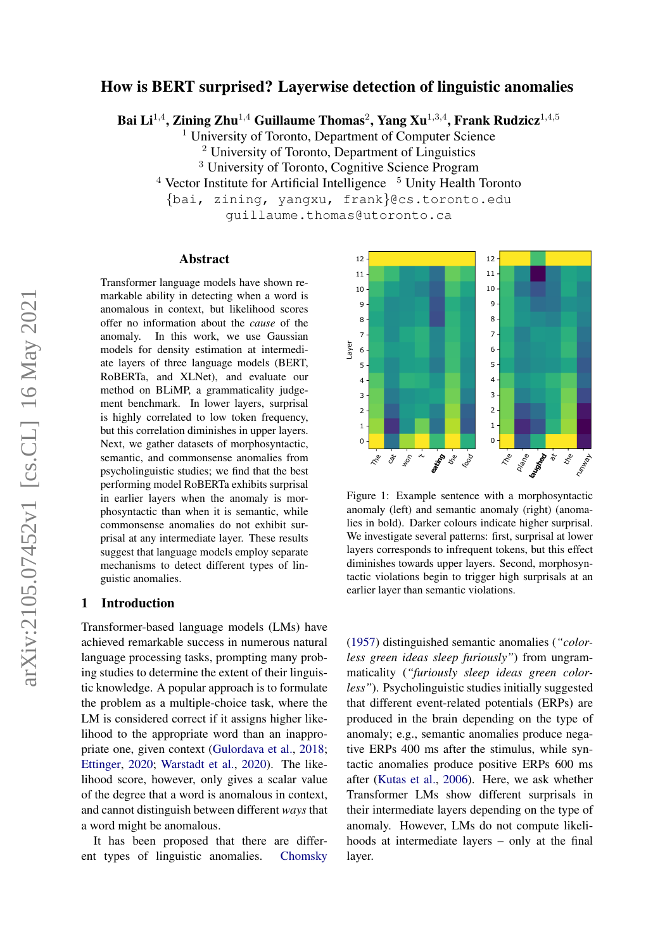# arXiv:2105.07452v1 [cs.CL] 16 May 2021 arXiv:2105.07452v1 [cs.CL] 16 May 2021

# How is BERT surprised? Layerwise detection of linguistic anomalies

Bai Li $^{1,4}$ , Zining Zhu $^{1,4}$  Guillaume Thomas $^2$ , Yang Xu $^{1,3,4}$ , Frank Rudzicz $^{1,4,5}$ 

University of Toronto, Department of Computer Science

 $2$  University of Toronto, Department of Linguistics

<sup>3</sup> University of Toronto, Cognitive Science Program

 $4$  Vector Institute for Artificial Intelligence  $5$  Unity Health Toronto

{bai, zining, yangxu, frank}@cs.toronto.edu

guillaume.thomas@utoronto.ca

## Abstract

Transformer language models have shown remarkable ability in detecting when a word is anomalous in context, but likelihood scores offer no information about the *cause* of the anomaly. In this work, we use Gaussian models for density estimation at intermediate layers of three language models (BERT, RoBERTa, and XLNet), and evaluate our method on BLiMP, a grammaticality judgement benchmark. In lower layers, surprisal is highly correlated to low token frequency, but this correlation diminishes in upper layers. Next, we gather datasets of morphosyntactic, semantic, and commonsense anomalies from psycholinguistic studies; we find that the best performing model RoBERTa exhibits surprisal in earlier layers when the anomaly is morphosyntactic than when it is semantic, while commonsense anomalies do not exhibit surprisal at any intermediate layer. These results suggest that language models employ separate mechanisms to detect different types of linguistic anomalies.

## 1 Introduction

Transformer-based language models (LMs) have achieved remarkable success in numerous natural language processing tasks, prompting many probing studies to determine the extent of their linguistic knowledge. A popular approach is to formulate the problem as a multiple-choice task, where the LM is considered correct if it assigns higher likelihood to the appropriate word than an inappropriate one, given context [\(Gulordava et al.,](#page-8-0) [2018;](#page-8-0) [Ettinger,](#page-8-1) [2020;](#page-8-1) [Warstadt et al.,](#page-10-0) [2020\)](#page-10-0). The likelihood score, however, only gives a scalar value of the degree that a word is anomalous in context, and cannot distinguish between different *ways* that a word might be anomalous.

It has been proposed that there are different types of linguistic anomalies. [Chomsky](#page-8-2)

<span id="page-0-0"></span>

Figure 1: Example sentence with a morphosyntactic anomaly (left) and semantic anomaly (right) (anomalies in bold). Darker colours indicate higher surprisal. We investigate several patterns: first, surprisal at lower layers corresponds to infrequent tokens, but this effect diminishes towards upper layers. Second, morphosyntactic violations begin to trigger high surprisals at an earlier layer than semantic violations.

[\(1957\)](#page-8-2) distinguished semantic anomalies (*"colorless green ideas sleep furiously"*) from ungrammaticality (*"furiously sleep ideas green colorless"*). Psycholinguistic studies initially suggested that different event-related potentials (ERPs) are produced in the brain depending on the type of anomaly; e.g., semantic anomalies produce negative ERPs 400 ms after the stimulus, while syntactic anomalies produce positive ERPs 600 ms after [\(Kutas et al.,](#page-9-0) [2006\)](#page-9-0). Here, we ask whether Transformer LMs show different surprisals in their intermediate layers depending on the type of anomaly. However, LMs do not compute likelihoods at intermediate layers – only at the final layer.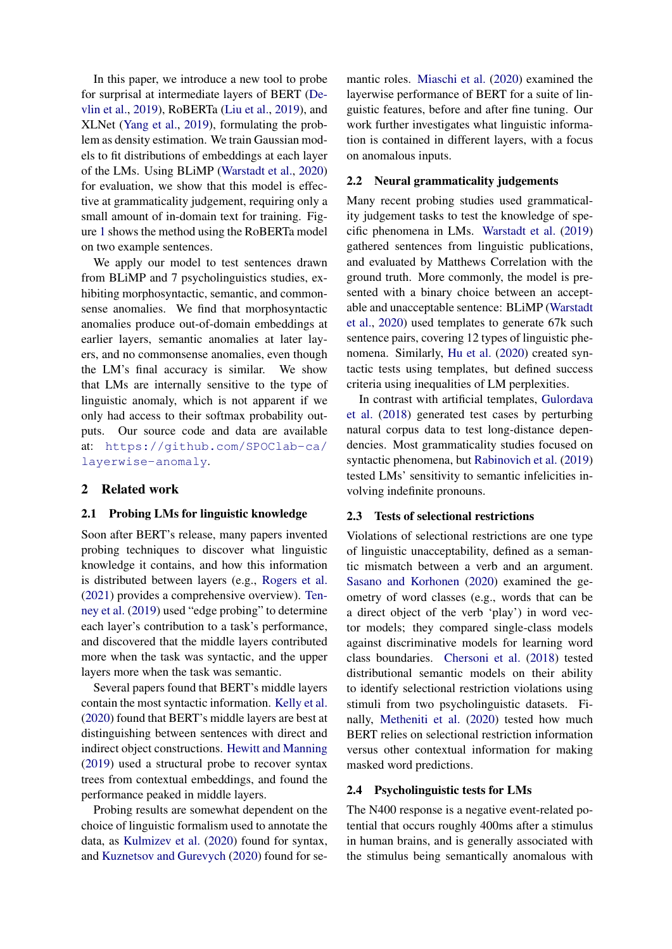In this paper, we introduce a new tool to probe for surprisal at intermediate layers of BERT [\(De](#page-8-3)[vlin et al.,](#page-8-3) [2019\)](#page-8-3), RoBERTa [\(Liu et al.,](#page-9-1) [2019\)](#page-9-1), and XLNet [\(Yang et al.,](#page-10-1) [2019\)](#page-10-1), formulating the problem as density estimation. We train Gaussian models to fit distributions of embeddings at each layer of the LMs. Using BLiMP [\(Warstadt et al.,](#page-10-0) [2020\)](#page-10-0) for evaluation, we show that this model is effective at grammaticality judgement, requiring only a small amount of in-domain text for training. Figure [1](#page-0-0) shows the method using the RoBERTa model on two example sentences.

We apply our model to test sentences drawn from BLiMP and 7 psycholinguistics studies, exhibiting morphosyntactic, semantic, and commonsense anomalies. We find that morphosyntactic anomalies produce out-of-domain embeddings at earlier layers, semantic anomalies at later layers, and no commonsense anomalies, even though the LM's final accuracy is similar. We show that LMs are internally sensitive to the type of linguistic anomaly, which is not apparent if we only had access to their softmax probability outputs. Our source code and data are available at: [https://github.com/SPOClab-ca/](https://github.com/SPOClab-ca/layerwise-anomaly) [layerwise-anomaly](https://github.com/SPOClab-ca/layerwise-anomaly).

## 2 Related work

#### 2.1 Probing LMs for linguistic knowledge

Soon after BERT's release, many papers invented probing techniques to discover what linguistic knowledge it contains, and how this information is distributed between layers (e.g., [Rogers et al.](#page-9-2) [\(2021\)](#page-9-2) provides a comprehensive overview). [Ten](#page-9-3)[ney et al.](#page-9-3) [\(2019\)](#page-9-3) used "edge probing" to determine each layer's contribution to a task's performance, and discovered that the middle layers contributed more when the task was syntactic, and the upper layers more when the task was semantic.

Several papers found that BERT's middle layers contain the most syntactic information. [Kelly et al.](#page-9-4) [\(2020\)](#page-9-4) found that BERT's middle layers are best at distinguishing between sentences with direct and indirect object constructions. [Hewitt and Manning](#page-8-4) [\(2019\)](#page-8-4) used a structural probe to recover syntax trees from contextual embeddings, and found the performance peaked in middle layers.

Probing results are somewhat dependent on the choice of linguistic formalism used to annotate the data, as [Kulmizev et al.](#page-9-5) [\(2020\)](#page-9-5) found for syntax, and [Kuznetsov and Gurevych](#page-9-6) [\(2020\)](#page-9-6) found for se-

mantic roles. [Miaschi et al.](#page-9-7) [\(2020\)](#page-9-7) examined the layerwise performance of BERT for a suite of linguistic features, before and after fine tuning. Our work further investigates what linguistic information is contained in different layers, with a focus on anomalous inputs.

#### 2.2 Neural grammaticality judgements

Many recent probing studies used grammaticality judgement tasks to test the knowledge of specific phenomena in LMs. [Warstadt et al.](#page-10-2) [\(2019\)](#page-10-2) gathered sentences from linguistic publications, and evaluated by Matthews Correlation with the ground truth. More commonly, the model is presented with a binary choice between an acceptable and unacceptable sentence: BLiMP [\(Warstadt](#page-10-0) [et al.,](#page-10-0) [2020\)](#page-10-0) used templates to generate 67k such sentence pairs, covering 12 types of linguistic phenomena. Similarly, [Hu et al.](#page-8-5) [\(2020\)](#page-8-5) created syntactic tests using templates, but defined success criteria using inequalities of LM perplexities.

In contrast with artificial templates, [Gulordava](#page-8-0) [et al.](#page-8-0) [\(2018\)](#page-8-0) generated test cases by perturbing natural corpus data to test long-distance dependencies. Most grammaticality studies focused on syntactic phenomena, but [Rabinovich et al.](#page-9-8) [\(2019\)](#page-9-8) tested LMs' sensitivity to semantic infelicities involving indefinite pronouns.

#### 2.3 Tests of selectional restrictions

Violations of selectional restrictions are one type of linguistic unacceptability, defined as a semantic mismatch between a verb and an argument. [Sasano and Korhonen](#page-9-9) [\(2020\)](#page-9-9) examined the geometry of word classes (e.g., words that can be a direct object of the verb 'play') in word vector models; they compared single-class models against discriminative models for learning word class boundaries. [Chersoni et al.](#page-8-6) [\(2018\)](#page-8-6) tested distributional semantic models on their ability to identify selectional restriction violations using stimuli from two psycholinguistic datasets. Finally, [Metheniti et al.](#page-9-10) [\(2020\)](#page-9-10) tested how much BERT relies on selectional restriction information versus other contextual information for making masked word predictions.

#### 2.4 Psycholinguistic tests for LMs

The N400 response is a negative event-related potential that occurs roughly 400ms after a stimulus in human brains, and is generally associated with the stimulus being semantically anomalous with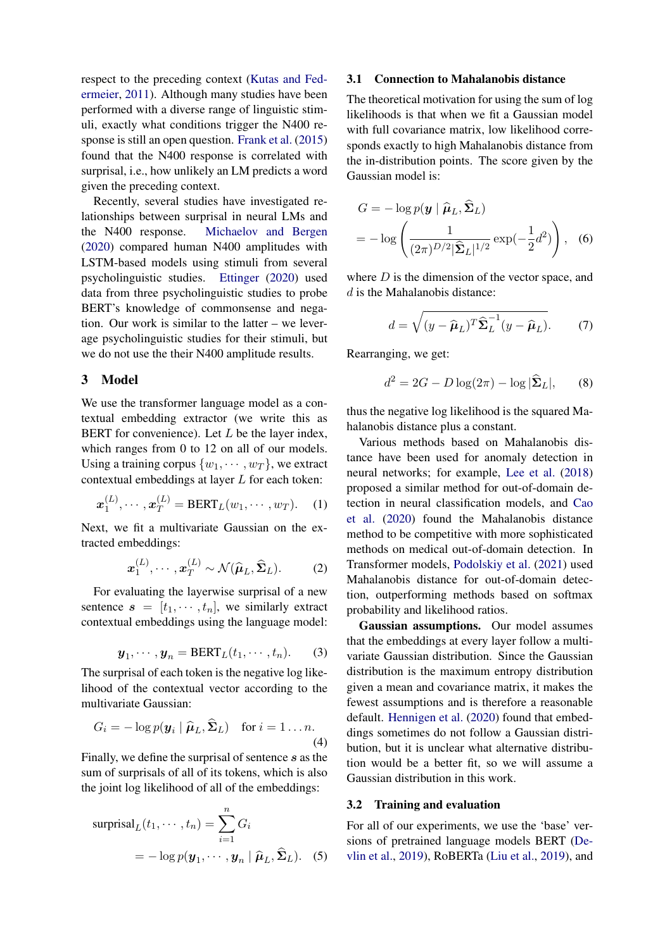respect to the preceding context [\(Kutas and Fed](#page-9-11)[ermeier,](#page-9-11) [2011\)](#page-9-11). Although many studies have been performed with a diverse range of linguistic stimuli, exactly what conditions trigger the N400 response is still an open question. [Frank et al.](#page-8-7) [\(2015\)](#page-8-7) found that the N400 response is correlated with surprisal, i.e., how unlikely an LM predicts a word given the preceding context.

Recently, several studies have investigated relationships between surprisal in neural LMs and the N400 response. [Michaelov and Bergen](#page-9-12) [\(2020\)](#page-9-12) compared human N400 amplitudes with LSTM-based models using stimuli from several psycholinguistic studies. [Ettinger](#page-8-1) [\(2020\)](#page-8-1) used data from three psycholinguistic studies to probe BERT's knowledge of commonsense and negation. Our work is similar to the latter – we leverage psycholinguistic studies for their stimuli, but we do not use the their N400 amplitude results.

## 3 Model

We use the transformer language model as a contextual embedding extractor (we write this as BERT for convenience). Let  $L$  be the layer index, which ranges from 0 to 12 on all of our models. Using a training corpus  $\{w_1, \dots, w_T\}$ , we extract contextual embeddings at layer L for each token:

$$
\boldsymbol{x}_1^{(L)}, \cdots, \boldsymbol{x}_T^{(L)} = \text{BERT}_L(w_1, \cdots, w_T). \quad (1)
$$

Next, we fit a multivariate Gaussian on the extracted embeddings:

$$
\boldsymbol{x}_1^{(L)}, \cdots, \boldsymbol{x}_T^{(L)} \sim \mathcal{N}(\widehat{\boldsymbol{\mu}}_L, \widehat{\boldsymbol{\Sigma}}_L).
$$
 (2)

For evaluating the layerwise surprisal of a new sentence  $s = [t_1, \dots, t_n]$ , we similarly extract contextual embeddings using the language model:

<span id="page-2-0"></span>
$$
\boldsymbol{y}_1, \cdots, \boldsymbol{y}_n = \text{BERT}_L(t_1, \cdots, t_n). \tag{3}
$$

The surprisal of each token is the negative log likelihood of the contextual vector according to the multivariate Gaussian:

$$
G_i = -\log p(\boldsymbol{y}_i \mid \widehat{\boldsymbol{\mu}}_L, \widehat{\boldsymbol{\Sigma}}_L) \quad \text{for } i = 1 \dots n. \tag{4}
$$

Finally, we define the surprisal of sentence s as the sum of surprisals of all of its tokens, which is also the joint log likelihood of all of the embeddings:

surprisal<sub>L</sub>(
$$
t_1, \dots, t_n
$$
) =  $\sum_{i=1}^{n} G_i$   
=  $-\log p(\mathbf{y}_1, \dots, \mathbf{y}_n | \hat{\boldsymbol{\mu}}_L, \hat{\boldsymbol{\Sigma}}_L)$ . (5)

#### 3.1 Connection to Mahalanobis distance

The theoretical motivation for using the sum of log likelihoods is that when we fit a Gaussian model with full covariance matrix, low likelihood corresponds exactly to high Mahalanobis distance from the in-distribution points. The score given by the Gaussian model is:

$$
G = -\log p(\mathbf{y} \mid \widehat{\boldsymbol{\mu}}_L, \widehat{\boldsymbol{\Sigma}}_L)
$$
  
= 
$$
-\log \left( \frac{1}{(2\pi)^{D/2} |\widehat{\boldsymbol{\Sigma}}_L|^{1/2}} \exp(-\frac{1}{2}d^2) \right), \quad (6)
$$

where  $D$  is the dimension of the vector space, and d is the Mahalanobis distance:

$$
d = \sqrt{(y - \widehat{\boldsymbol{\mu}}_L)^T \widehat{\boldsymbol{\Sigma}}_L^{-1} (y - \widehat{\boldsymbol{\mu}}_L)}.
$$
 (7)

Rearranging, we get:

$$
d^2 = 2G - D\log(2\pi) - \log|\hat{\Sigma}_L|,\qquad(8)
$$

thus the negative log likelihood is the squared Mahalanobis distance plus a constant.

Various methods based on Mahalanobis distance have been used for anomaly detection in neural networks; for example, [Lee et al.](#page-9-13) [\(2018\)](#page-9-13) proposed a similar method for out-of-domain detection in neural classification models, and [Cao](#page-8-8) [et al.](#page-8-8) [\(2020\)](#page-8-8) found the Mahalanobis distance method to be competitive with more sophisticated methods on medical out-of-domain detection. In Transformer models, [Podolskiy et al.](#page-9-14) [\(2021\)](#page-9-14) used Mahalanobis distance for out-of-domain detection, outperforming methods based on softmax probability and likelihood ratios.

Gaussian assumptions. Our model assumes that the embeddings at every layer follow a multivariate Gaussian distribution. Since the Gaussian distribution is the maximum entropy distribution given a mean and covariance matrix, it makes the fewest assumptions and is therefore a reasonable default. [Hennigen et al.](#page-8-9) [\(2020\)](#page-8-9) found that embeddings sometimes do not follow a Gaussian distribution, but it is unclear what alternative distribution would be a better fit, so we will assume a Gaussian distribution in this work.

#### <span id="page-2-1"></span>3.2 Training and evaluation

<span id="page-2-2"></span>For all of our experiments, we use the 'base' versions of pretrained language models BERT [\(De](#page-8-3)[vlin et al.,](#page-8-3) [2019\)](#page-8-3), RoBERTa [\(Liu et al.,](#page-9-1) [2019\)](#page-9-1), and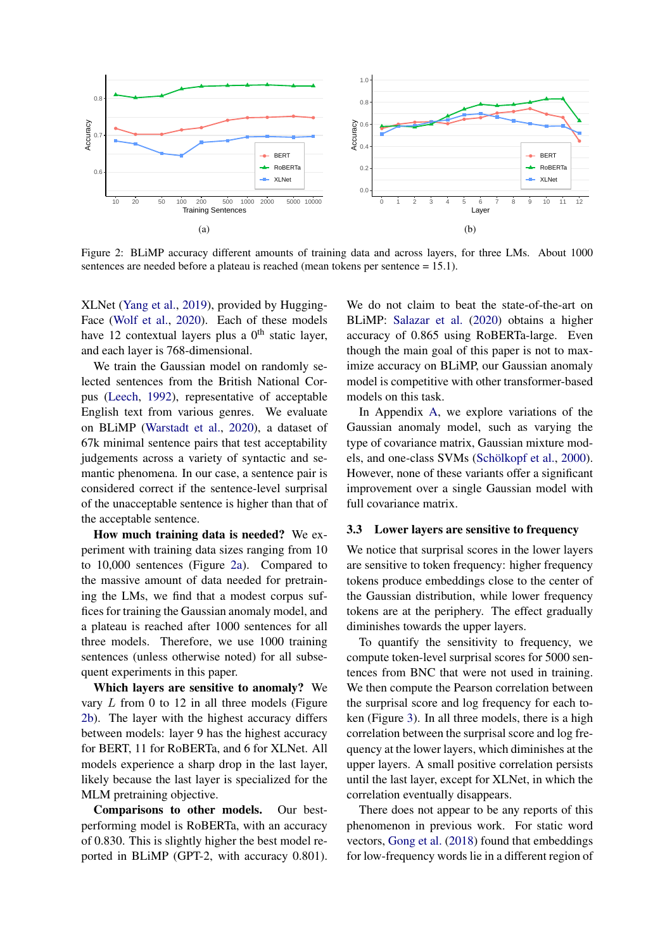<span id="page-3-0"></span>

Figure 2: BLiMP accuracy different amounts of training data and across layers, for three LMs. About 1000 sentences are needed before a plateau is reached (mean tokens per sentence = 15.1).

XLNet [\(Yang et al.,](#page-10-1) [2019\)](#page-10-1), provided by Hugging-Face [\(Wolf et al.,](#page-10-3) [2020\)](#page-10-3). Each of these models have 12 contextual layers plus a  $0<sup>th</sup>$  static layer, and each layer is 768-dimensional.

We train the Gaussian model on randomly selected sentences from the British National Corpus [\(Leech,](#page-9-15) [1992\)](#page-9-15), representative of acceptable English text from various genres. We evaluate on BLiMP [\(Warstadt et al.,](#page-10-0) [2020\)](#page-10-0), a dataset of 67k minimal sentence pairs that test acceptability judgements across a variety of syntactic and semantic phenomena. In our case, a sentence pair is considered correct if the sentence-level surprisal of the unacceptable sentence is higher than that of the acceptable sentence.

How much training data is needed? We experiment with training data sizes ranging from 10 to 10,000 sentences (Figure [2a\)](#page-3-0). Compared to the massive amount of data needed for pretraining the LMs, we find that a modest corpus suffices for training the Gaussian anomaly model, and a plateau is reached after 1000 sentences for all three models. Therefore, we use 1000 training sentences (unless otherwise noted) for all subsequent experiments in this paper.

Which layers are sensitive to anomaly? We vary  $L$  from 0 to 12 in all three models (Figure [2b\)](#page-3-0). The layer with the highest accuracy differs between models: layer 9 has the highest accuracy for BERT, 11 for RoBERTa, and 6 for XLNet. All models experience a sharp drop in the last layer, likely because the last layer is specialized for the MLM pretraining objective.

Comparisons to other models. Our bestperforming model is RoBERTa, with an accuracy of 0.830. This is slightly higher the best model reported in BLiMP (GPT-2, with accuracy 0.801).

We do not claim to beat the state-of-the-art on BLiMP: [Salazar et al.](#page-9-16) [\(2020\)](#page-9-16) obtains a higher accuracy of 0.865 using RoBERTa-large. Even though the main goal of this paper is not to maximize accuracy on BLiMP, our Gaussian anomaly model is competitive with other transformer-based models on this task.

In Appendix [A,](#page-11-0) we explore variations of the Gaussian anomaly model, such as varying the type of covariance matrix, Gaussian mixture mod-els, and one-class SVMs (Schölkopf et al., [2000\)](#page-9-17). However, none of these variants offer a significant improvement over a single Gaussian model with full covariance matrix.

#### 3.3 Lower layers are sensitive to frequency

We notice that surprisal scores in the lower layers are sensitive to token frequency: higher frequency tokens produce embeddings close to the center of the Gaussian distribution, while lower frequency tokens are at the periphery. The effect gradually diminishes towards the upper layers.

To quantify the sensitivity to frequency, we compute token-level surprisal scores for 5000 sentences from BNC that were not used in training. We then compute the Pearson correlation between the surprisal score and log frequency for each token (Figure [3\)](#page-4-0). In all three models, there is a high correlation between the surprisal score and log frequency at the lower layers, which diminishes at the upper layers. A small positive correlation persists until the last layer, except for XLNet, in which the correlation eventually disappears.

There does not appear to be any reports of this phenomenon in previous work. For static word vectors, [Gong et al.](#page-8-10) [\(2018\)](#page-8-10) found that embeddings for low-frequency words lie in a different region of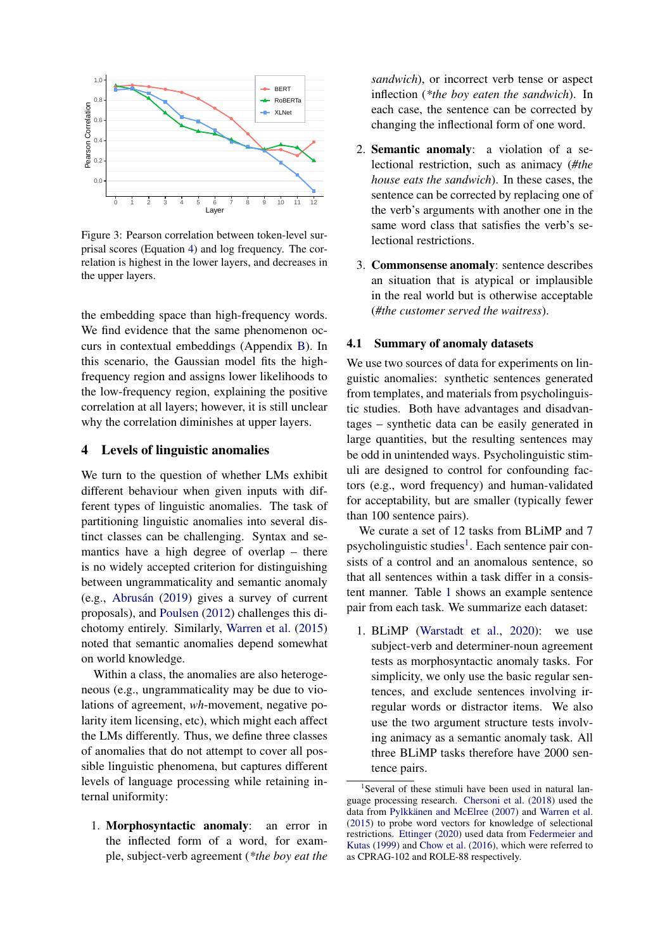<span id="page-4-0"></span>

Figure 3: Pearson correlation between token-level surprisal scores (Equation [4\)](#page-2-0) and log frequency. The correlation is highest in the lower layers, and decreases in the upper layers.

the embedding space than high-frequency words. We find evidence that the same phenomenon occurs in contextual embeddings (Appendix [B\)](#page-12-0). In this scenario, the Gaussian model fits the highfrequency region and assigns lower likelihoods to the low-frequency region, explaining the positive correlation at all layers; however, it is still unclear why the correlation diminishes at upper layers.

## 4 Levels of linguistic anomalies

We turn to the question of whether LMs exhibit different behaviour when given inputs with different types of linguistic anomalies. The task of partitioning linguistic anomalies into several distinct classes can be challenging. Syntax and semantics have a high degree of overlap – there is no widely accepted criterion for distinguishing between ungrammaticality and semantic anomaly  $(e.g., Abrusán (2019) gives a survey of current)$  $(e.g., Abrusán (2019) gives a survey of current)$  $(e.g., Abrusán (2019) gives a survey of current)$ proposals), and [Poulsen](#page-9-18) [\(2012\)](#page-9-18) challenges this dichotomy entirely. Similarly, [Warren et al.](#page-9-19) [\(2015\)](#page-9-19) noted that semantic anomalies depend somewhat on world knowledge.

Within a class, the anomalies are also heterogeneous (e.g., ungrammaticality may be due to violations of agreement, *wh*-movement, negative polarity item licensing, etc), which might each affect the LMs differently. Thus, we define three classes of anomalies that do not attempt to cover all possible linguistic phenomena, but captures different levels of language processing while retaining internal uniformity:

1. Morphosyntactic anomaly: an error in the inflected form of a word, for example, subject-verb agreement (*\*the boy eat the* *sandwich*), or incorrect verb tense or aspect inflection (*\*the boy eaten the sandwich*). In each case, the sentence can be corrected by changing the inflectional form of one word.

- 2. Semantic anomaly: a violation of a selectional restriction, such as animacy (*#the house eats the sandwich*). In these cases, the sentence can be corrected by replacing one of the verb's arguments with another one in the same word class that satisfies the verb's selectional restrictions.
- 3. Commonsense anomaly: sentence describes an situation that is atypical or implausible in the real world but is otherwise acceptable (*#the customer served the waitress*).

#### 4.1 Summary of anomaly datasets

We use two sources of data for experiments on linguistic anomalies: synthetic sentences generated from templates, and materials from psycholinguistic studies. Both have advantages and disadvantages – synthetic data can be easily generated in large quantities, but the resulting sentences may be odd in unintended ways. Psycholinguistic stimuli are designed to control for confounding factors (e.g., word frequency) and human-validated for acceptability, but are smaller (typically fewer than 100 sentence pairs).

We curate a set of 12 tasks from BLiMP and 7 psycholinguistic studies<sup>[1](#page-4-1)</sup>. Each sentence pair consists of a control and an anomalous sentence, so that all sentences within a task differ in a consistent manner. Table [1](#page-5-0) shows an example sentence pair from each task. We summarize each dataset:

1. BLiMP [\(Warstadt et al.,](#page-10-0) [2020\)](#page-10-0): we use subject-verb and determiner-noun agreement tests as morphosyntactic anomaly tasks. For simplicity, we only use the basic regular sentences, and exclude sentences involving irregular words or distractor items. We also use the two argument structure tests involving animacy as a semantic anomaly task. All three BLiMP tasks therefore have 2000 sentence pairs.

<span id="page-4-1"></span><sup>&</sup>lt;sup>1</sup>Several of these stimuli have been used in natural language processing research. [Chersoni et al.](#page-8-6) [\(2018\)](#page-8-6) used the data from Pylkkänen and McElree [\(2007\)](#page-9-20) and [Warren et al.](#page-9-19) [\(2015\)](#page-9-19) to probe word vectors for knowledge of selectional restrictions. [Ettinger](#page-8-1) [\(2020\)](#page-8-1) used data from [Federmeier and](#page-8-12) [Kutas](#page-8-12) [\(1999\)](#page-8-12) and [Chow et al.](#page-8-13) [\(2016\)](#page-8-13), which were referred to as CPRAG-102 and ROLE-88 respectively.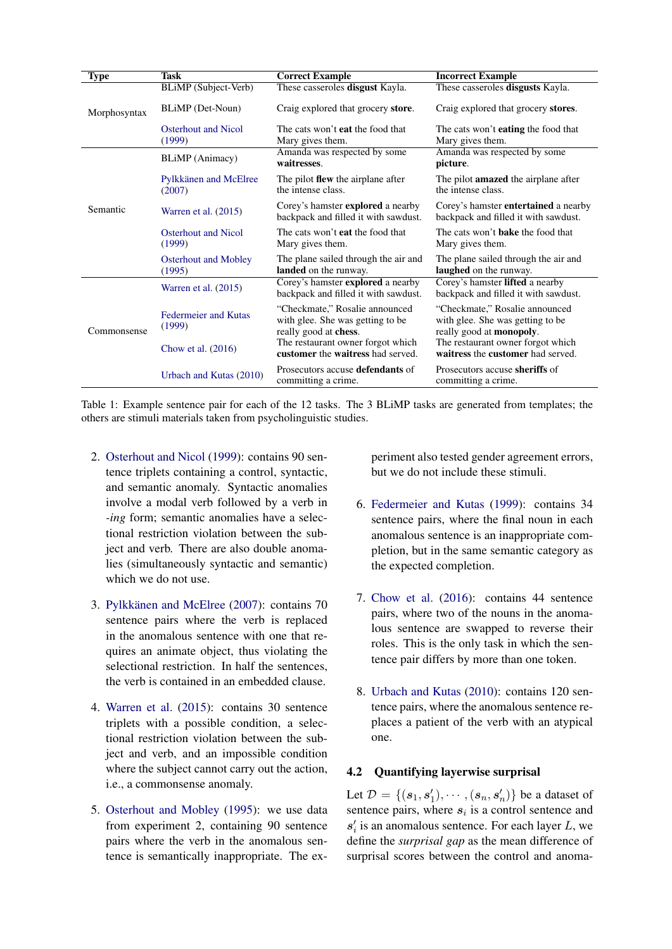<span id="page-5-0"></span>

| <b>Type</b>  | <b>Task</b>                           | <b>Correct Example</b>                                                                               | <b>Incorrect Example</b>                                                                                |  |  |
|--------------|---------------------------------------|------------------------------------------------------------------------------------------------------|---------------------------------------------------------------------------------------------------------|--|--|
|              | BLiMP (Subject-Verb)                  | These casseroles <b>disgust</b> Kayla.                                                               | These casseroles <b>disgusts</b> Kayla.                                                                 |  |  |
| Morphosyntax | BLiMP (Det-Noun)                      | Craig explored that grocery store.                                                                   | Craig explored that grocery stores.                                                                     |  |  |
|              | <b>Osterhout and Nicol</b><br>(1999)  | The cats won't <b>eat</b> the food that<br>Mary gives them.                                          | The cats won't <b>eating</b> the food that<br>Mary gives them.                                          |  |  |
|              | BLiMP (Animacy)                       | Amanda was respected by some<br>waitresses.                                                          | Amanda was respected by some<br>picture.                                                                |  |  |
| Semantic     | Pylkkänen and McElree<br>(2007)       | The pilot <b>flew</b> the airplane after<br>the intense class.                                       | The pilot <b>amazed</b> the airplane after<br>the intense class.                                        |  |  |
|              | Warren et al. $(2015)$                | Corey's hamster <b>explored</b> a nearby<br>backpack and filled it with sawdust.                     | Corey's hamster <b>entertained</b> a nearby<br>backpack and filled it with sawdust.                     |  |  |
|              | <b>Osterhout and Nicol</b><br>(1999)  | The cats won't <b>eat</b> the food that<br>Mary gives them.                                          | The cats won't <b>bake</b> the food that<br>Mary gives them.                                            |  |  |
|              | <b>Osterhout and Mobley</b><br>(1995) | The plane sailed through the air and<br>landed on the runway.                                        | The plane sailed through the air and<br>laughed on the runway.                                          |  |  |
|              | Warren et al. $(2015)$                | Corey's hamster <b>explored</b> a nearby<br>backpack and filled it with sawdust.                     | Corey's hamster lifted a nearby<br>backpack and filled it with sawdust.                                 |  |  |
| Commonsense  | <b>Federmeier and Kutas</b><br>(1999) | "Checkmate," Rosalie announced<br>with glee. She was getting to be.<br>really good at <b>chess</b> . | "Checkmate," Rosalie announced<br>with glee. She was getting to be.<br>really good at <b>monopoly</b> . |  |  |
|              | Chow et al. $(2016)$                  | The restaurant owner forgot which<br>customer the waitress had served.                               | The restaurant owner forgot which<br>waitress the customer had served.                                  |  |  |
|              | Urbach and Kutas (2010)               | Prosecutors accuse defendants of<br>committing a crime.                                              | Prosecutors accuse sheriffs of<br>committing a crime.                                                   |  |  |

Table 1: Example sentence pair for each of the 12 tasks. The 3 BLiMP tasks are generated from templates; the others are stimuli materials taken from psycholinguistic studies.

- 2. [Osterhout and Nicol](#page-9-21) [\(1999\)](#page-9-21): contains 90 sentence triplets containing a control, syntactic, and semantic anomaly. Syntactic anomalies involve a modal verb followed by a verb in *-ing* form; semantic anomalies have a selectional restriction violation between the subject and verb. There are also double anomalies (simultaneously syntactic and semantic) which we do not use.
- 3. Pylkkänen and McElree [\(2007\)](#page-9-20): contains 70 sentence pairs where the verb is replaced in the anomalous sentence with one that requires an animate object, thus violating the selectional restriction. In half the sentences, the verb is contained in an embedded clause.
- 4. [Warren et al.](#page-9-19) [\(2015\)](#page-9-19): contains 30 sentence triplets with a possible condition, a selectional restriction violation between the subject and verb, and an impossible condition where the subject cannot carry out the action, i.e., a commonsense anomaly.
- 5. [Osterhout and Mobley](#page-9-22) [\(1995\)](#page-9-22): we use data from experiment 2, containing 90 sentence pairs where the verb in the anomalous sentence is semantically inappropriate. The ex-

periment also tested gender agreement errors, but we do not include these stimuli.

- 6. [Federmeier and Kutas](#page-8-12) [\(1999\)](#page-8-12): contains 34 sentence pairs, where the final noun in each anomalous sentence is an inappropriate completion, but in the same semantic category as the expected completion.
- 7. [Chow et al.](#page-8-13) [\(2016\)](#page-8-13): contains 44 sentence pairs, where two of the nouns in the anomalous sentence are swapped to reverse their roles. This is the only task in which the sentence pair differs by more than one token.
- 8. [Urbach and Kutas](#page-9-23) [\(2010\)](#page-9-23): contains 120 sentence pairs, where the anomalous sentence replaces a patient of the verb with an atypical one.

# 4.2 Quantifying layerwise surprisal

Let  $\mathcal{D} = \{(\mathbf{s}_1, \mathbf{s}'_1), \cdots, (\mathbf{s}_n, \mathbf{s}'_n)\}\$  be a dataset of sentence pairs, where  $s_i$  is a control sentence and  $s_i$  is an anomalous sentence. For each layer L, we define the *surprisal gap* as the mean difference of surprisal scores between the control and anoma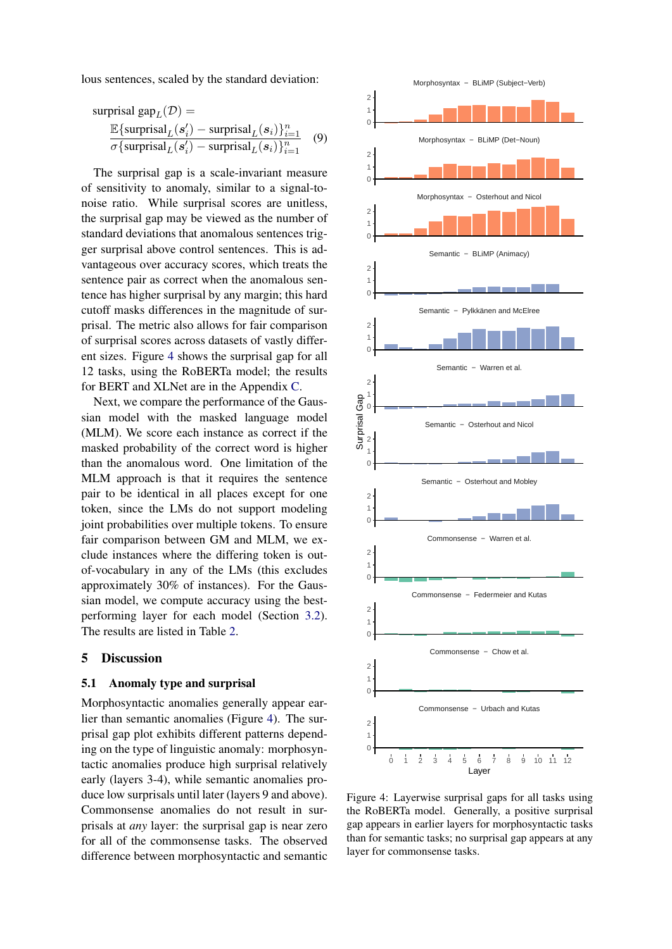lous sentences, scaled by the standard deviation:

$$
\text{surprisal gap}_L(\mathcal{D}) = \frac{\mathbb{E}\{\text{surprisal}_L(s_i') - \text{surprisal}_L(s_i)\}_{i=1}^n}{\sigma\{\text{surprisal}_L(s_i') - \text{surprisal}_L(s_i)\}_{i=1}^n} \quad (9)
$$

The surprisal gap is a scale-invariant measure of sensitivity to anomaly, similar to a signal-tonoise ratio. While surprisal scores are unitless, the surprisal gap may be viewed as the number of standard deviations that anomalous sentences trigger surprisal above control sentences. This is advantageous over accuracy scores, which treats the sentence pair as correct when the anomalous sentence has higher surprisal by any margin; this hard cutoff masks differences in the magnitude of surprisal. The metric also allows for fair comparison of surprisal scores across datasets of vastly different sizes. Figure [4](#page-6-0) shows the surprisal gap for all 12 tasks, using the RoBERTa model; the results for BERT and XLNet are in the Appendix [C.](#page-12-1)

Next, we compare the performance of the Gaussian model with the masked language model (MLM). We score each instance as correct if the masked probability of the correct word is higher than the anomalous word. One limitation of the MLM approach is that it requires the sentence pair to be identical in all places except for one token, since the LMs do not support modeling joint probabilities over multiple tokens. To ensure fair comparison between GM and MLM, we exclude instances where the differing token is outof-vocabulary in any of the LMs (this excludes approximately 30% of instances). For the Gaussian model, we compute accuracy using the bestperforming layer for each model (Section [3.2\)](#page-2-1). The results are listed in Table [2.](#page-7-0)

## 5 Discussion

#### 5.1 Anomaly type and surprisal

Morphosyntactic anomalies generally appear earlier than semantic anomalies (Figure [4\)](#page-6-0). The surprisal gap plot exhibits different patterns depending on the type of linguistic anomaly: morphosyntactic anomalies produce high surprisal relatively early (layers 3-4), while semantic anomalies produce low surprisals until later (layers 9 and above). Commonsense anomalies do not result in surprisals at *any* layer: the surprisal gap is near zero for all of the commonsense tasks. The observed difference between morphosyntactic and semantic<br>difference between morphosyntactic anomalies (Figure 4). The sur-<br>ing on the type of linguistic anomaly: morphosyn-<br>dactic anomalies produce high surprisal relatively<br>early

<span id="page-6-0"></span>

Figure 4: Layerwise surprisal gaps for all tasks using the RoBERTa model. Generally, a positive surprisal gap appears in earlier layers for morphosyntactic tasks than for semantic tasks; no surprisal gap appears at any layer for commonsense tasks.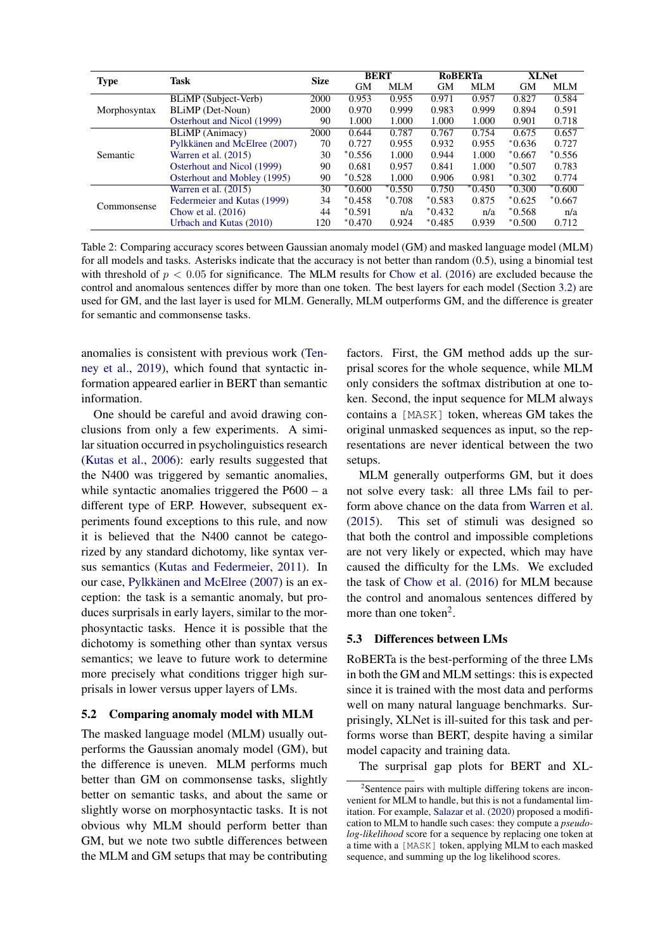<span id="page-7-0"></span>

| <b>Type</b>  | Task                         | <b>Size</b> | <b>BERT</b> |          | <b>RoBERTa</b> |          | <b>XLNet</b> |          |
|--------------|------------------------------|-------------|-------------|----------|----------------|----------|--------------|----------|
|              |                              |             | <b>GM</b>   | MLM      | <b>GM</b>      | MLM      | <b>GM</b>    | MLM      |
| Morphosyntax | BLiMP (Subject-Verb)         | 2000        | 0.953       | 0.955    | 0.971          | 0.957    | 0.827        | 0.584    |
|              | BLiMP (Det-Noun)             | 2000        | 0.970       | 0.999    | 0.983          | 0.999    | 0.894        | 0.591    |
|              | Osterhout and Nicol (1999)   | 90          | 1.000       | 1.000    | 1.000          | 1.000    | 0.901        | 0.718    |
| Semantic     | BLiMP (Animacy)              | 2000        | 0.644       | 0.787    | 0.767          | 0.754    | 0.675        | 0.657    |
|              | Pylkkänen and McElree (2007) | 70          | 0.727       | 0.955    | 0.932          | 0.955    | $*0.636$     | 0.727    |
|              | Warren et al. $(2015)$       | 30          | $*0.556$    | 1.000    | 0.944          | 1.000    | $*0.667$     | $*0.556$ |
|              | Osterhout and Nicol (1999)   | 90          | 0.681       | 0.957    | 0.841          | 1.000    | $*0.507$     | 0.783    |
|              | Osterhout and Mobley (1995)  | 90          | $*0.528$    | 1.000    | 0.906          | 0.981    | $*0.302$     | 0.774    |
| Commonsense  | Warren et al. $(2015)$       | 30          | $*0.600$    | $*0.550$ | 0.750          | $*0.450$ | $*0.300$     | $*0.600$ |
|              | Federmeier and Kutas (1999)  | 34          | $*0.458$    | $*0.708$ | $*0.583$       | 0.875    | $*0.625$     | $*0.667$ |
|              | Chow et al. $(2016)$         | 44          | $*0.591$    | n/a      | $*0.432$       | n/a      | $*0.568$     | n/a      |
|              | Urbach and Kutas (2010)      | 120         | $*0.470$    | 0.924    | $*0.485$       | 0.939    | $*0.500$     | 0.712    |

Table 2: Comparing accuracy scores between Gaussian anomaly model (GM) and masked language model (MLM) for all models and tasks. Asterisks indicate that the accuracy is not better than random (0.5), using a binomial test with threshold of  $p < 0.05$  for significance. The MLM results for [Chow et al.](#page-8-13) [\(2016\)](#page-8-13) are excluded because the control and anomalous sentences differ by more than one token. The best layers for each model (Section [3.2\)](#page-2-1) are used for GM, and the last layer is used for MLM. Generally, MLM outperforms GM, and the difference is greater for semantic and commonsense tasks.

anomalies is consistent with previous work [\(Ten](#page-9-3)[ney et al.,](#page-9-3) [2019\)](#page-9-3), which found that syntactic information appeared earlier in BERT than semantic information.

One should be careful and avoid drawing conclusions from only a few experiments. A similar situation occurred in psycholinguistics research [\(Kutas et al.,](#page-9-0) [2006\)](#page-9-0): early results suggested that the N400 was triggered by semantic anomalies, while syntactic anomalies triggered the P600 – a different type of ERP. However, subsequent experiments found exceptions to this rule, and now it is believed that the N400 cannot be categorized by any standard dichotomy, like syntax versus semantics [\(Kutas and Federmeier,](#page-9-11) [2011\)](#page-9-11). In our case, Pylkkänen and McElree [\(2007\)](#page-9-20) is an exception: the task is a semantic anomaly, but produces surprisals in early layers, similar to the morphosyntactic tasks. Hence it is possible that the dichotomy is something other than syntax versus semantics; we leave to future work to determine more precisely what conditions trigger high surprisals in lower versus upper layers of LMs.

#### 5.2 Comparing anomaly model with MLM

The masked language model (MLM) usually outperforms the Gaussian anomaly model (GM), but the difference is uneven. MLM performs much better than GM on commonsense tasks, slightly better on semantic tasks, and about the same or slightly worse on morphosyntactic tasks. It is not obvious why MLM should perform better than GM, but we note two subtle differences between the MLM and GM setups that may be contributing

factors. First, the GM method adds up the surprisal scores for the whole sequence, while MLM only considers the softmax distribution at one token. Second, the input sequence for MLM always contains a [MASK] token, whereas GM takes the original unmasked sequences as input, so the representations are never identical between the two setups.

MLM generally outperforms GM, but it does not solve every task: all three LMs fail to perform above chance on the data from [Warren et al.](#page-9-19) [\(2015\)](#page-9-19). This set of stimuli was designed so that both the control and impossible completions are not very likely or expected, which may have caused the difficulty for the LMs. We excluded the task of [Chow et al.](#page-8-13) [\(2016\)](#page-8-13) for MLM because the control and anomalous sentences differed by more than one token<sup>[2](#page-7-1)</sup>.

#### 5.3 Differences between LMs

RoBERTa is the best-performing of the three LMs in both the GM and MLM settings: this is expected since it is trained with the most data and performs well on many natural language benchmarks. Surprisingly, XLNet is ill-suited for this task and performs worse than BERT, despite having a similar model capacity and training data.

The surprisal gap plots for BERT and XL-

<span id="page-7-1"></span><sup>&</sup>lt;sup>2</sup>Sentence pairs with multiple differing tokens are inconvenient for MLM to handle, but this is not a fundamental limitation. For example, [Salazar et al.](#page-9-16) [\(2020\)](#page-9-16) proposed a modification to MLM to handle such cases: they compute a *pseudolog-likelihood* score for a sequence by replacing one token at a time with a [MASK] token, applying MLM to each masked sequence, and summing up the log likelihood scores.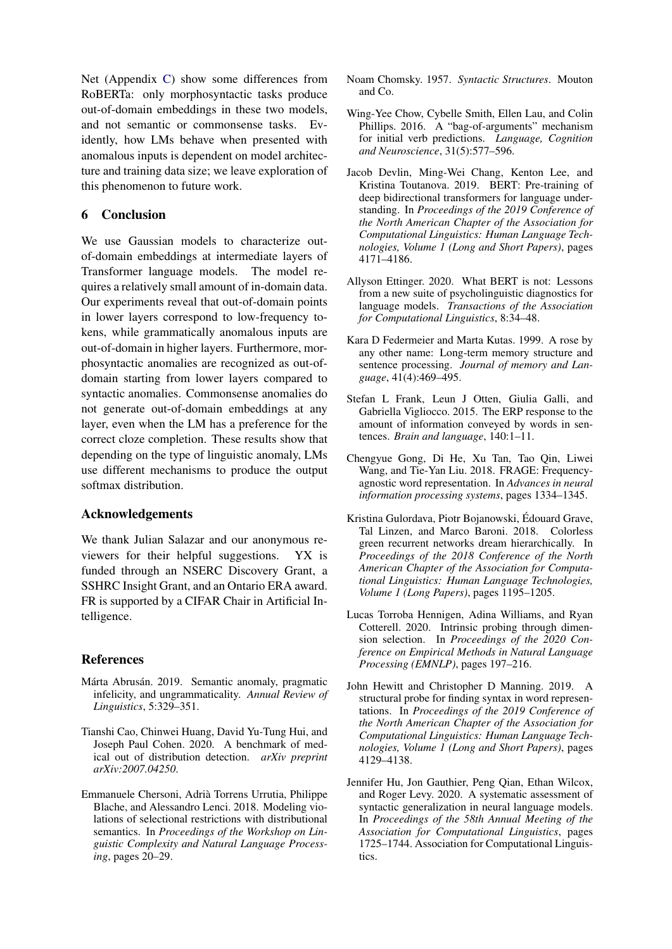Net (Appendix [C\)](#page-12-1) show some differences from RoBERTa: only morphosyntactic tasks produce out-of-domain embeddings in these two models, and not semantic or commonsense tasks. Evidently, how LMs behave when presented with anomalous inputs is dependent on model architecture and training data size; we leave exploration of this phenomenon to future work.

# 6 Conclusion

We use Gaussian models to characterize outof-domain embeddings at intermediate layers of Transformer language models. The model requires a relatively small amount of in-domain data. Our experiments reveal that out-of-domain points in lower layers correspond to low-frequency tokens, while grammatically anomalous inputs are out-of-domain in higher layers. Furthermore, morphosyntactic anomalies are recognized as out-ofdomain starting from lower layers compared to syntactic anomalies. Commonsense anomalies do not generate out-of-domain embeddings at any layer, even when the LM has a preference for the correct cloze completion. These results show that depending on the type of linguistic anomaly, LMs use different mechanisms to produce the output softmax distribution.

# Acknowledgements

We thank Julian Salazar and our anonymous reviewers for their helpful suggestions. YX is funded through an NSERC Discovery Grant, a SSHRC Insight Grant, and an Ontario ERA award. FR is supported by a CIFAR Chair in Artificial Intelligence.

# References

- <span id="page-8-11"></span>Márta Abrusán. 2019. Semantic anomaly, pragmatic infelicity, and ungrammaticality. *Annual Review of Linguistics*, 5:329–351.
- <span id="page-8-8"></span>Tianshi Cao, Chinwei Huang, David Yu-Tung Hui, and Joseph Paul Cohen. 2020. A benchmark of medical out of distribution detection. *arXiv preprint arXiv:2007.04250*.
- <span id="page-8-6"></span>Emmanuele Chersoni, Adria Torrens Urrutia, Philippe ` Blache, and Alessandro Lenci. 2018. Modeling violations of selectional restrictions with distributional semantics. In *Proceedings of the Workshop on Linguistic Complexity and Natural Language Processing*, pages 20–29.
- <span id="page-8-2"></span>Noam Chomsky. 1957. *Syntactic Structures*. Mouton and Co.
- <span id="page-8-13"></span>Wing-Yee Chow, Cybelle Smith, Ellen Lau, and Colin Phillips. 2016. A "bag-of-arguments" mechanism for initial verb predictions. *Language, Cognition and Neuroscience*, 31(5):577–596.
- <span id="page-8-3"></span>Jacob Devlin, Ming-Wei Chang, Kenton Lee, and Kristina Toutanova. 2019. BERT: Pre-training of deep bidirectional transformers for language understanding. In *Proceedings of the 2019 Conference of the North American Chapter of the Association for Computational Linguistics: Human Language Technologies, Volume 1 (Long and Short Papers)*, pages 4171–4186.
- <span id="page-8-1"></span>Allyson Ettinger. 2020. What BERT is not: Lessons from a new suite of psycholinguistic diagnostics for language models. *Transactions of the Association for Computational Linguistics*, 8:34–48.
- <span id="page-8-12"></span>Kara D Federmeier and Marta Kutas. 1999. A rose by any other name: Long-term memory structure and sentence processing. *Journal of memory and Language*, 41(4):469–495.
- <span id="page-8-7"></span>Stefan L Frank, Leun J Otten, Giulia Galli, and Gabriella Vigliocco. 2015. The ERP response to the amount of information conveyed by words in sentences. *Brain and language*, 140:1–11.
- <span id="page-8-10"></span>Chengyue Gong, Di He, Xu Tan, Tao Qin, Liwei Wang, and Tie-Yan Liu. 2018. FRAGE: Frequencyagnostic word representation. In *Advances in neural information processing systems*, pages 1334–1345.
- <span id="page-8-0"></span>Kristina Gulordava, Piotr Bojanowski, Edouard Grave, ´ Tal Linzen, and Marco Baroni. 2018. Colorless green recurrent networks dream hierarchically. In *Proceedings of the 2018 Conference of the North American Chapter of the Association for Computational Linguistics: Human Language Technologies, Volume 1 (Long Papers)*, pages 1195–1205.
- <span id="page-8-9"></span>Lucas Torroba Hennigen, Adina Williams, and Ryan Cotterell. 2020. Intrinsic probing through dimension selection. In *Proceedings of the 2020 Conference on Empirical Methods in Natural Language Processing (EMNLP)*, pages 197–216.
- <span id="page-8-4"></span>John Hewitt and Christopher D Manning. 2019. A structural probe for finding syntax in word representations. In *Proceedings of the 2019 Conference of the North American Chapter of the Association for Computational Linguistics: Human Language Technologies, Volume 1 (Long and Short Papers)*, pages 4129–4138.
- <span id="page-8-5"></span>Jennifer Hu, Jon Gauthier, Peng Qian, Ethan Wilcox, and Roger Levy. 2020. A systematic assessment of syntactic generalization in neural language models. In *Proceedings of the 58th Annual Meeting of the Association for Computational Linguistics*, pages 1725–1744. Association for Computational Linguistics.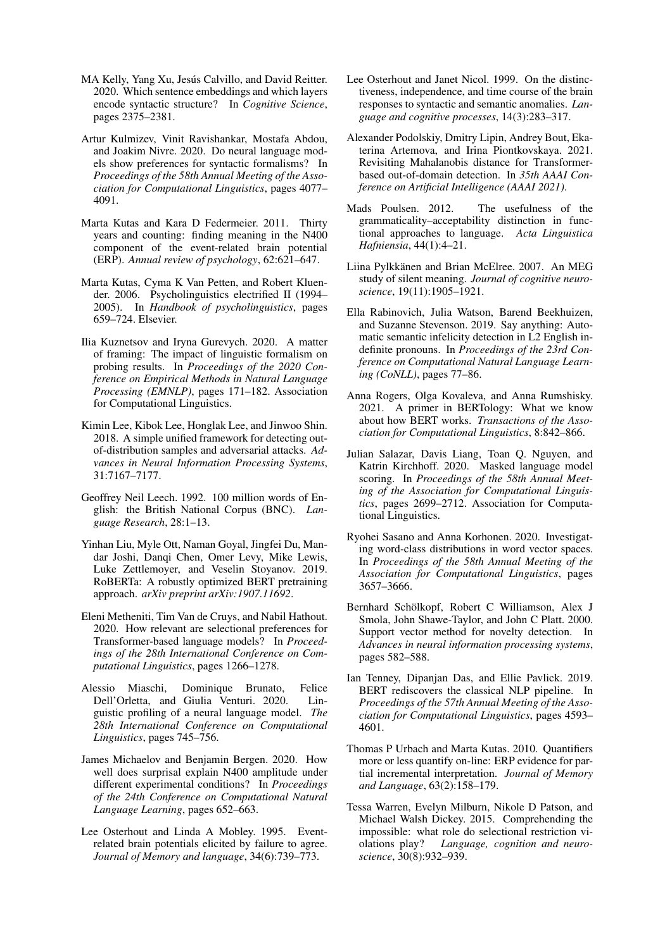- <span id="page-9-4"></span>MA Kelly, Yang Xu, Jesús Calvillo, and David Reitter. 2020. Which sentence embeddings and which layers encode syntactic structure? In *Cognitive Science*, pages 2375–2381.
- <span id="page-9-5"></span>Artur Kulmizev, Vinit Ravishankar, Mostafa Abdou, and Joakim Nivre. 2020. Do neural language models show preferences for syntactic formalisms? In *Proceedings of the 58th Annual Meeting of the Association for Computational Linguistics*, pages 4077– 4091.
- <span id="page-9-11"></span>Marta Kutas and Kara D Federmeier. 2011. Thirty years and counting: finding meaning in the N400 component of the event-related brain potential (ERP). *Annual review of psychology*, 62:621–647.
- <span id="page-9-0"></span>Marta Kutas, Cyma K Van Petten, and Robert Kluender. 2006. Psycholinguistics electrified II (1994– 2005). In *Handbook of psycholinguistics*, pages 659–724. Elsevier.
- <span id="page-9-6"></span>Ilia Kuznetsov and Iryna Gurevych. 2020. A matter of framing: The impact of linguistic formalism on probing results. In *Proceedings of the 2020 Conference on Empirical Methods in Natural Language Processing (EMNLP)*, pages 171–182. Association for Computational Linguistics.
- <span id="page-9-13"></span>Kimin Lee, Kibok Lee, Honglak Lee, and Jinwoo Shin. 2018. A simple unified framework for detecting outof-distribution samples and adversarial attacks. *Advances in Neural Information Processing Systems*, 31:7167–7177.
- <span id="page-9-15"></span>Geoffrey Neil Leech. 1992. 100 million words of English: the British National Corpus (BNC). *Language Research*, 28:1–13.
- <span id="page-9-1"></span>Yinhan Liu, Myle Ott, Naman Goyal, Jingfei Du, Mandar Joshi, Danqi Chen, Omer Levy, Mike Lewis, Luke Zettlemoyer, and Veselin Stoyanov. 2019. RoBERTa: A robustly optimized BERT pretraining approach. *arXiv preprint arXiv:1907.11692*.
- <span id="page-9-10"></span>Eleni Metheniti, Tim Van de Cruys, and Nabil Hathout. 2020. How relevant are selectional preferences for Transformer-based language models? In *Proceedings of the 28th International Conference on Computational Linguistics*, pages 1266–1278.
- <span id="page-9-7"></span>Alessio Miaschi, Dominique Brunato, Felice Dell'Orletta, and Giulia Venturi. 2020. Linguistic profiling of a neural language model. *The 28th International Conference on Computational Linguistics*, pages 745–756.
- <span id="page-9-12"></span>James Michaelov and Benjamin Bergen. 2020. How well does surprisal explain N400 amplitude under different experimental conditions? In *Proceedings of the 24th Conference on Computational Natural Language Learning*, pages 652–663.
- <span id="page-9-22"></span>Lee Osterhout and Linda A Mobley. 1995. Eventrelated brain potentials elicited by failure to agree. *Journal of Memory and language*, 34(6):739–773.
- <span id="page-9-21"></span>Lee Osterhout and Janet Nicol. 1999. On the distinctiveness, independence, and time course of the brain responses to syntactic and semantic anomalies. *Language and cognitive processes*, 14(3):283–317.
- <span id="page-9-14"></span>Alexander Podolskiy, Dmitry Lipin, Andrey Bout, Ekaterina Artemova, and Irina Piontkovskaya. 2021. Revisiting Mahalanobis distance for Transformerbased out-of-domain detection. In *35th AAAI Conference on Artificial Intelligence (AAAI 2021)*.
- <span id="page-9-18"></span>Mads Poulsen. 2012. The usefulness of the grammaticality–acceptability distinction in functional approaches to language. *Acta Linguistica Hafniensia*, 44(1):4–21.
- <span id="page-9-20"></span>Liina Pylkkänen and Brian McElree. 2007. An MEG study of silent meaning. *Journal of cognitive neuroscience*, 19(11):1905–1921.
- <span id="page-9-8"></span>Ella Rabinovich, Julia Watson, Barend Beekhuizen, and Suzanne Stevenson. 2019. Say anything: Automatic semantic infelicity detection in L2 English indefinite pronouns. In *Proceedings of the 23rd Conference on Computational Natural Language Learning (CoNLL)*, pages 77–86.
- <span id="page-9-2"></span>Anna Rogers, Olga Kovaleva, and Anna Rumshisky. 2021. A primer in BERTology: What we know about how BERT works. *Transactions of the Association for Computational Linguistics*, 8:842–866.
- <span id="page-9-16"></span>Julian Salazar, Davis Liang, Toan Q. Nguyen, and Katrin Kirchhoff. 2020. Masked language model scoring. In *Proceedings of the 58th Annual Meeting of the Association for Computational Linguistics*, pages 2699–2712. Association for Computational Linguistics.
- <span id="page-9-9"></span>Ryohei Sasano and Anna Korhonen. 2020. Investigating word-class distributions in word vector spaces. In *Proceedings of the 58th Annual Meeting of the Association for Computational Linguistics*, pages 3657–3666.
- <span id="page-9-17"></span>Bernhard Schölkopf, Robert C Williamson, Alex J Smola, John Shawe-Taylor, and John C Platt. 2000. Support vector method for novelty detection. In *Advances in neural information processing systems*, pages 582–588.
- <span id="page-9-3"></span>Ian Tenney, Dipanjan Das, and Ellie Pavlick. 2019. BERT rediscovers the classical NLP pipeline. In *Proceedings of the 57th Annual Meeting of the Association for Computational Linguistics*, pages 4593– 4601.
- <span id="page-9-23"></span>Thomas P Urbach and Marta Kutas. 2010. Quantifiers more or less quantify on-line: ERP evidence for partial incremental interpretation. *Journal of Memory and Language*, 63(2):158–179.
- <span id="page-9-19"></span>Tessa Warren, Evelyn Milburn, Nikole D Patson, and Michael Walsh Dickey. 2015. Comprehending the impossible: what role do selectional restriction violations play? *Language, cognition and neuroscience*, 30(8):932–939.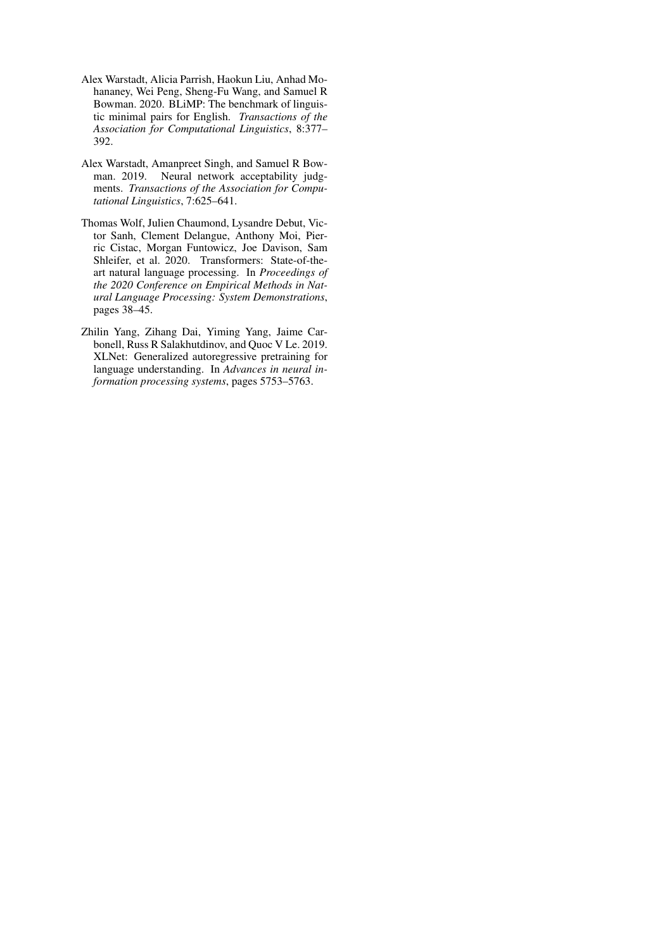- <span id="page-10-0"></span>Alex Warstadt, Alicia Parrish, Haokun Liu, Anhad Mohananey, Wei Peng, Sheng-Fu Wang, and Samuel R Bowman. 2020. BLiMP: The benchmark of linguistic minimal pairs for English. *Transactions of the Association for Computational Linguistics*, 8:377– 392.
- <span id="page-10-2"></span>Alex Warstadt, Amanpreet Singh, and Samuel R Bowman. 2019. Neural network acceptability judgments. *Transactions of the Association for Computational Linguistics*, 7:625–641.
- <span id="page-10-3"></span>Thomas Wolf, Julien Chaumond, Lysandre Debut, Victor Sanh, Clement Delangue, Anthony Moi, Pierric Cistac, Morgan Funtowicz, Joe Davison, Sam Shleifer, et al. 2020. Transformers: State-of-theart natural language processing. In *Proceedings of the 2020 Conference on Empirical Methods in Natural Language Processing: System Demonstrations*, pages 38–45.
- <span id="page-10-1"></span>Zhilin Yang, Zihang Dai, Yiming Yang, Jaime Carbonell, Russ R Salakhutdinov, and Quoc V Le. 2019. XLNet: Generalized autoregressive pretraining for language understanding. In *Advances in neural information processing systems*, pages 5753–5763.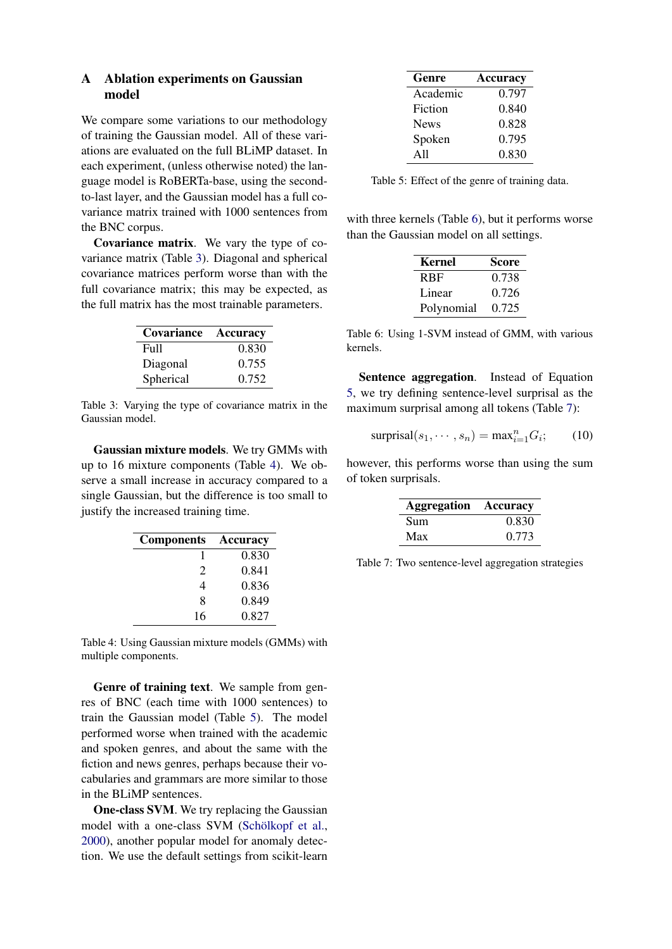# <span id="page-11-0"></span>A Ablation experiments on Gaussian model

We compare some variations to our methodology of training the Gaussian model. All of these variations are evaluated on the full BLiMP dataset. In each experiment, (unless otherwise noted) the language model is RoBERTa-base, using the secondto-last layer, and the Gaussian model has a full covariance matrix trained with 1000 sentences from the BNC corpus.

Covariance matrix. We vary the type of covariance matrix (Table [3\)](#page-11-1). Diagonal and spherical covariance matrices perform worse than with the full covariance matrix; this may be expected, as the full matrix has the most trainable parameters.

<span id="page-11-1"></span>

| Covariance | Accuracy |
|------------|----------|
| Full       | 0.830    |
| Diagonal   | 0.755    |
| Spherical  | 0.752    |

Table 3: Varying the type of covariance matrix in the Gaussian model.

Gaussian mixture models. We try GMMs with up to 16 mixture components (Table [4\)](#page-11-2). We observe a small increase in accuracy compared to a single Gaussian, but the difference is too small to justify the increased training time.

<span id="page-11-2"></span>

| <b>Components</b>     | Accuracy |
|-----------------------|----------|
|                       | 0.830    |
| $\mathcal{D}_{\cdot}$ | 0.841    |
| 4                     | 0.836    |
| 8                     | 0.849    |
| 16                    | 0.827    |

Table 4: Using Gaussian mixture models (GMMs) with multiple components.

Genre of training text. We sample from genres of BNC (each time with 1000 sentences) to train the Gaussian model (Table [5\)](#page-11-3). The model performed worse when trained with the academic and spoken genres, and about the same with the fiction and news genres, perhaps because their vocabularies and grammars are more similar to those in the BLiMP sentences.

One-class SVM. We try replacing the Gaussian model with a one-class SVM (Schölkopf et al., [2000\)](#page-9-17), another popular model for anomaly detection. We use the default settings from scikit-learn

<span id="page-11-3"></span>

| Genre       | Accuracy |
|-------------|----------|
| Academic    | 0.797    |
| Fiction     | 0.840    |
| <b>News</b> | 0.828    |
| Spoken      | 0.795    |
| A11         | 0.830    |

Table 5: Effect of the genre of training data.

<span id="page-11-4"></span>with three kernels (Table [6\)](#page-11-4), but it performs worse than the Gaussian model on all settings.

| Kernel                  | Score |
|-------------------------|-------|
| <b>R</b> <sub>R</sub> F | 0.738 |
| Linear                  | 0.726 |
| Polynomial              | 0.725 |

Table 6: Using 1-SVM instead of GMM, with various kernels.

Sentence aggregation. Instead of Equation [5,](#page-2-2) we try defining sentence-level surprisal as the maximum surprisal among all tokens (Table [7\)](#page-11-5):

$$
\text{surprisal}(s_1, \cdots, s_n) = \max_{i=1}^n G_i; \qquad (10)
$$

<span id="page-11-5"></span>however, this performs worse than using the sum of token surprisals.

| <b>Aggregation Accuracy</b> |       |
|-----------------------------|-------|
| Sum                         | 0.830 |
| Max                         | 0.773 |

Table 7: Two sentence-level aggregation strategies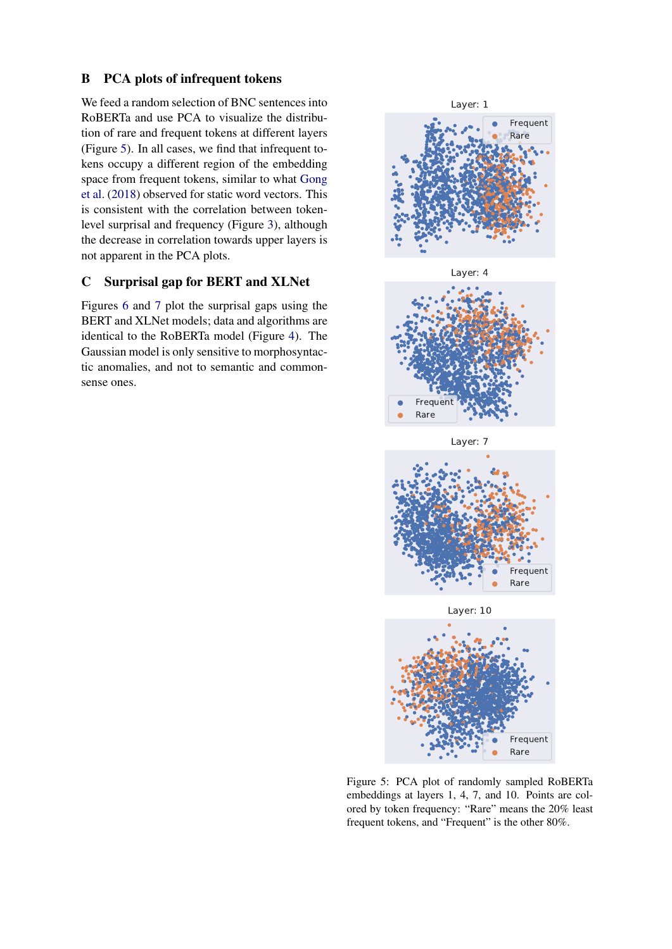## <span id="page-12-0"></span>B PCA plots of infrequent tokens

We feed a random selection of BNC sentences into RoBERTa and use PCA to visualize the distribution of rare and frequent tokens at different layers (Figure [5\)](#page-12-2). In all cases, we find that infrequent tokens occupy a different region of the embedding space from frequent tokens, similar to what [Gong](#page-8-10) [et al.](#page-8-10) [\(2018\)](#page-8-10) observed for static word vectors. This is consistent with the correlation between tokenlevel surprisal and frequency (Figure [3\)](#page-4-0), although the decrease in correlation towards upper layers is not apparent in the PCA plots.

# <span id="page-12-1"></span>C Surprisal gap for BERT and XLNet

Figures [6](#page-13-0) and [7](#page-13-1) plot the surprisal gaps using the BERT and XLNet models; data and algorithms are identical to the RoBERTa model (Figure [4\)](#page-6-0). The Gaussian model is only sensitive to morphosyntactic anomalies, and not to semantic and commonsense ones.

<span id="page-12-2"></span>



Layer: 7



Layer: 10



Figure 5: PCA plot of randomly sampled RoBERTa embeddings at layers 1, 4, 7, and 10. Points are colored by token frequency: "Rare" means the 20% least frequent tokens, and "Frequent" is the other 80%.